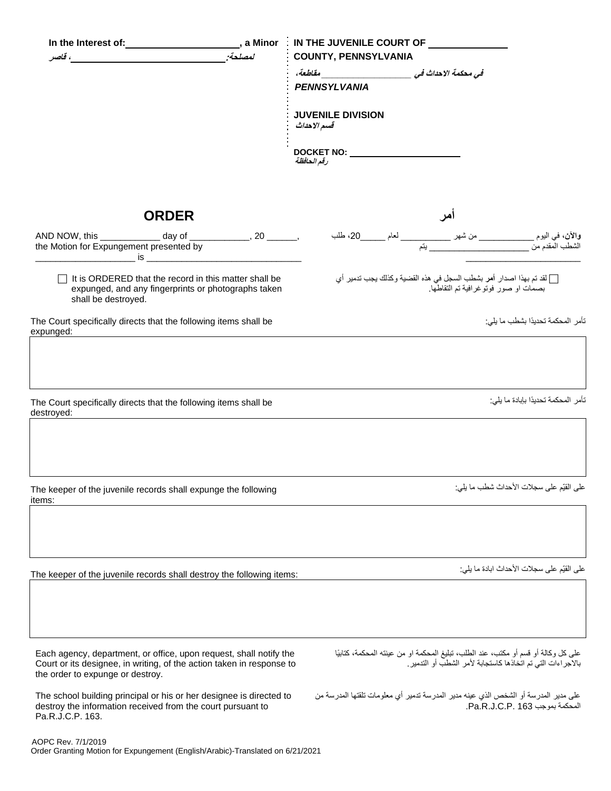|                                                                                                                                            |                                                                                                                                             |        | In the Interest of:_________________________, a Minor : IN THE JUVENILE COURT OF ___________                                                     |  |  |
|--------------------------------------------------------------------------------------------------------------------------------------------|---------------------------------------------------------------------------------------------------------------------------------------------|--------|--------------------------------------------------------------------------------------------------------------------------------------------------|--|--|
|                                                                                                                                            | ، قاصر المستخدمات المستخدمات المستخدمات المستخدمات المستخدمات المستخدمات المستخدمات المستخدمات المستخدمات المستخدمات                        | لمصلحة | <b>COUNTY, PENNSYLVANIA</b>                                                                                                                      |  |  |
|                                                                                                                                            |                                                                                                                                             |        | في محكمة الاحداث في المستخدمة العاملية، المستخدمة العاملية،                                                                                      |  |  |
|                                                                                                                                            |                                                                                                                                             |        | <b>PENNSYLVANIA</b>                                                                                                                              |  |  |
|                                                                                                                                            |                                                                                                                                             |        | <b>JUVENILE DIVISION</b><br>قسم الاحداث                                                                                                          |  |  |
|                                                                                                                                            |                                                                                                                                             |        | رقم الحافظة                                                                                                                                      |  |  |
|                                                                                                                                            |                                                                                                                                             |        |                                                                                                                                                  |  |  |
|                                                                                                                                            | <b>ORDER</b>                                                                                                                                |        |                                                                                                                                                  |  |  |
|                                                                                                                                            |                                                                                                                                             |        |                                                                                                                                                  |  |  |
| $\Box$ It is ORDERED that the record in this matter shall be<br>expunged, and any fingerprints or photographs taken<br>shall be destroyed. |                                                                                                                                             |        | [ ] لقد تم بهذا اصدار أمر بشطب السجل في هذه القضية وكذلك يجب تدمير أي<br>بصمات او صور فوتوغرافية تم التقاطها.                                    |  |  |
| expunged:                                                                                                                                  | The Court specifically directs that the following items shall be                                                                            |        | تأمر المحكمة تحديدًا بشطب ما يلي:                                                                                                                |  |  |
| destroyed:                                                                                                                                 | The Court specifically directs that the following items shall be                                                                            |        | تأمر المحكمة تحديدًا بإبادة ما يلي:                                                                                                              |  |  |
| items:                                                                                                                                     | The keeper of the juvenile records shall expunge the following                                                                              |        | على القيّم على سجلات الأحداث شطب ما يلي:                                                                                                         |  |  |
|                                                                                                                                            | The keeper of the juvenile records shall destroy the following items:                                                                       |        | على القيّم على سجلات الأحداث ابادة ما يلي:                                                                                                       |  |  |
|                                                                                                                                            |                                                                                                                                             |        |                                                                                                                                                  |  |  |
| the order to expunge or destroy.                                                                                                           | Each agency, department, or office, upon request, shall notify the<br>Court or its designee, in writing, of the action taken in response to |        | على كل وكالة أو قسم أو مكتب، عند الطلب، تبليغ المحكمة او من عينته المحكمة، كتابيًا<br>بالاجر اءات التي تم اتخاذها كاستجابة لأمر الشطب أو التدمير |  |  |
| Pa.R.J.C.P. 163.                                                                                                                           | The school building principal or his or her designee is directed to<br>destroy the information received from the court pursuant to          |        | على مدير المدرسة أو الشخص الذي عينه مدير المدرسة تدمير أي معلومات تلقتها المدرسة من<br>المحكمة بموجب Pa.R.J.C.P. 163.                            |  |  |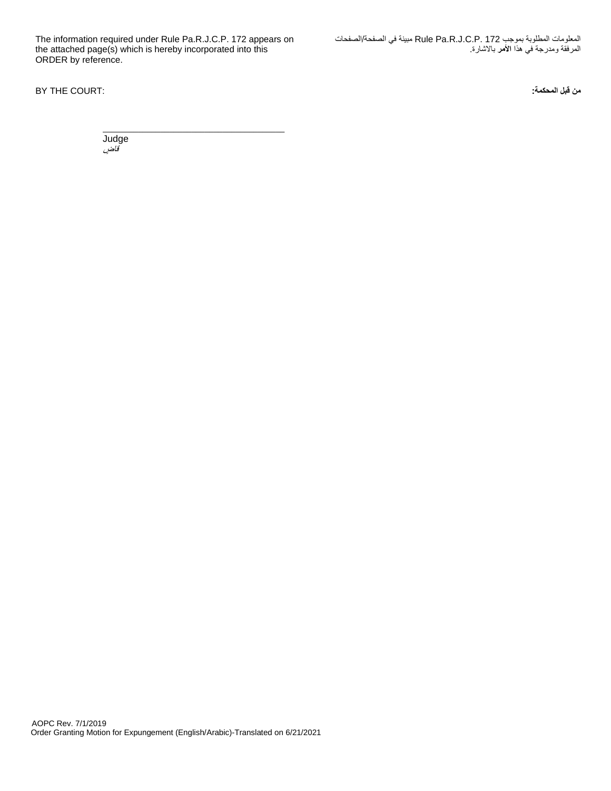The information required under Rule Pa.R.J.C.P. 172 appears on the attached page(s) which is hereby incorporated into this ORDER by reference.

\_\_\_\_\_\_\_\_\_\_\_\_\_\_\_\_\_\_\_\_\_\_\_\_\_\_\_\_\_\_\_\_\_\_\_\_\_\_\_\_\_

المعلومات المطلوبة بموجب 172 .P.C.J.R.Pa Rule مبينة في الصفحة/الصفحات المرفقة ومدرجة في هذا **األمر** باالشارة.

**من قبل المحكمة:** :COURT THE BY

**Judge** ت<br>قاض*ي*